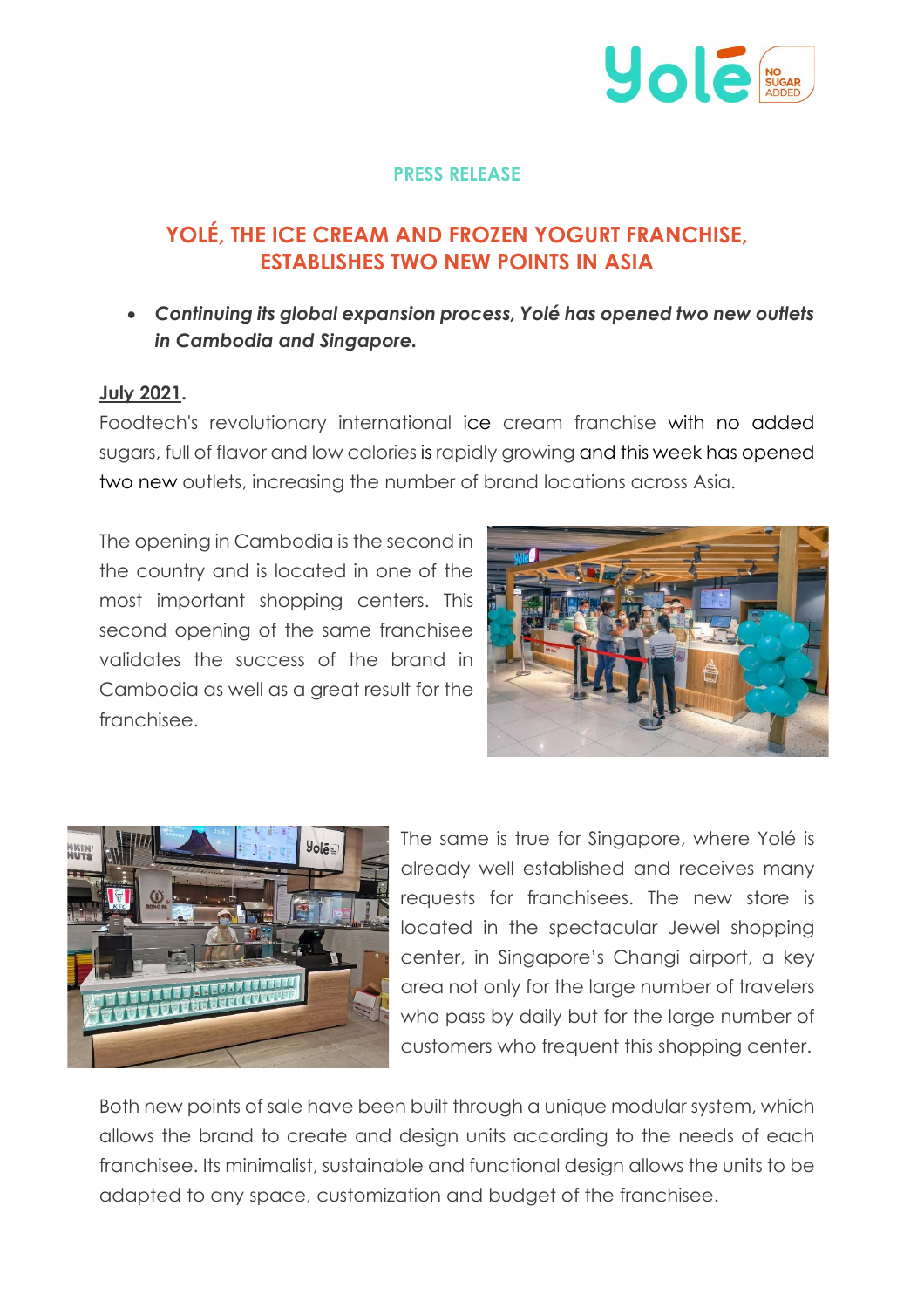

## **PRESS RELEASE**

# **YOLÉ, THE ICE CREAM AND FROZEN YOGURT FRANCHISE, ESTABLISHES TWO NEW POINTS IN ASIA**

• *Continuing its global expansion process, Yolé has opened two new outlets in Cambodia and Singapore.*

### **July 2021.**

Foodtech's revolutionary international ice cream franchise with no added sugars, full of flavor and low calories is rapidly growing and this week has opened two new outlets, increasing the number of brand locations across Asia.

The opening in Cambodia is the second in the country and is located in one of the most important shopping centers. This second opening of the same franchisee validates the success of the brand in Cambodia as well as a great result for the franchisee.





The same is true for Singapore, where Yolé is already well established and receives many requests for franchisees. The new store is located in the spectacular Jewel shopping center, in Singapore's Changi airport, a key area not only for the large number of travelers who pass by daily but for the large number of customers who frequent this shopping center.

Both new points of sale have been built through a unique modular system, which allows the brand to create and design units according to the needs of each franchisee. Its minimalist, sustainable and functional design allows the units to be adapted to any space, customization and budget of the franchisee.